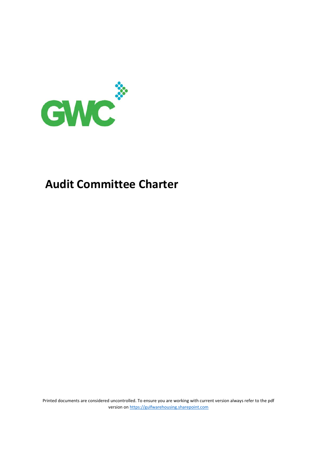

# **Audit Committee Charter**

Printed documents are considered uncontrolled. To ensure you are working with current version always refer to the pdf version on https://gulfwarehousing.sharepoint.com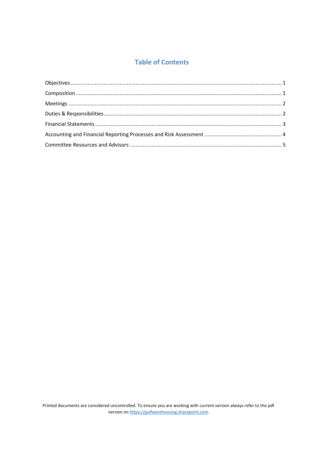# **Table of Contents**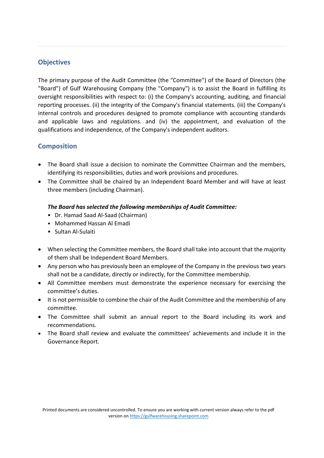## **Objectives**

The primary purpose of the Audit Committee (the "Committee") of the Board of Directors (the "Board") of Gulf Warehousing Company (the "Company") is to assist the Board in fulfilling its oversight responsibilities with respect to: (i) the Company's accounting, auditing, and financial reporting processes. (ii) the integrity of the Company's financial statements. (iii) the Company's internal controls and procedures designed to promote compliance with accounting standards and applicable laws and regulations. and (iv) the appointment, and evaluation of the qualifications and independence, of the Company's independent auditors.

## **Composition**

- The Board shall issue a decision to nominate the Committee Chairman and the members, identifying its responsibilities, duties and work provisions and procedures.
- The Committee shall be chaired by an Independent Board Member and will have at least three members (including Chairman).

#### *The Board has selected the following memberships of Audit Committee:*

- Dr. Hamad Saad Al‐Saad (Chairman)
- Mohammed Hassan Al Emadi
- Sultan Al‐Sulaiti
- When selecting the Committee members, the Board shall take into account that the majority of them shall be Independent Board Members.
- Any person who has previously been an employee of the Company in the previous two years shall not be a candidate, directly or indirectly, for the Committee membership.
- All Committee members must demonstrate the experience necessary for exercising the committee's duties.
- It is not permissible to combine the chair of the Audit Committee and the membership of any committee.
- The Committee shall submit an annual report to the Board including its work and recommendations.
- The Board shall review and evaluate the committees' achievements and include it in the Governance Report.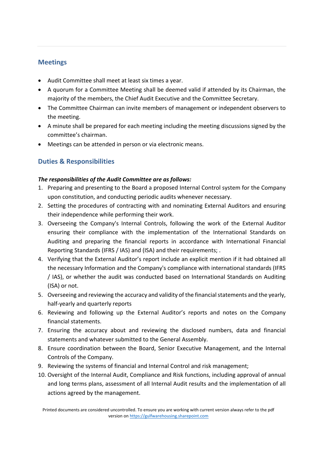# **Meetings**

- Audit Committee shall meet at least six times a year.
- A quorum for a Committee Meeting shall be deemed valid if attended by its Chairman, the majority of the members, the Chief Audit Executive and the Committee Secretary.
- The Committee Chairman can invite members of management or independent observers to the meeting.
- A minute shall be prepared for each meeting including the meeting discussions signed by the committee's chairman.
- Meetings can be attended in person or via electronic means.

# **Duties & Responsibilities**

#### *The responsibilities of the Audit Committee are as follows:*

- 1. Preparing and presenting to the Board a proposed Internal Control system for the Company upon constitution, and conducting periodic audits whenever necessary.
- 2. Setting the procedures of contracting with and nominating External Auditors and ensuring their independence while performing their work.
- 3. Overseeing the Company's Internal Controls, following the work of the External Auditor ensuring their compliance with the implementation of the International Standards on Auditing and preparing the financial reports in accordance with International Financial Reporting Standards (IFRS / IAS) and (ISA) and their requirements; .
- 4. Verifying that the External Auditor's report include an explicit mention if it had obtained all the necessary Information and the Company's compliance with international standards (IFRS / IAS), or whether the audit was conducted based on International Standards on Auditing (ISA) or not.
- 5. Overseeing and reviewing the accuracy and validity of the financial statements and the yearly, half‐yearly and quarterly reports
- 6. Reviewing and following up the External Auditor's reports and notes on the Company financial statements.
- 7. Ensuring the accuracy about and reviewing the disclosed numbers, data and financial statements and whatever submitted to the General Assembly.
- 8. Ensure coordination between the Board, Senior Executive Management, and the Internal Controls of the Company.
- 9. Reviewing the systems of financial and Internal Control and risk management;
- 10. Oversight of the Internal Audit, Compliance and Risk functions, including approval of annual and long terms plans, assessment of all Internal Audit results and the implementation of all actions agreed by the management.

Printed documents are considered uncontrolled. To ensure you are working with current version always refer to the pdf version on https://gulfwarehousing.sharepoint.com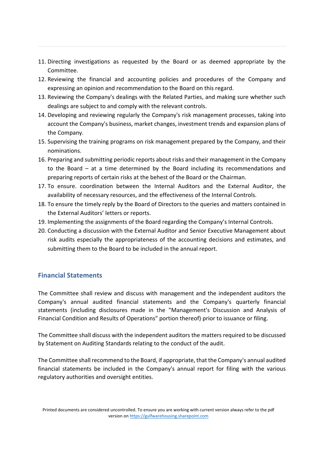- 11. Directing investigations as requested by the Board or as deemed appropriate by the Committee.
- 12. Reviewing the financial and accounting policies and procedures of the Company and expressing an opinion and recommendation to the Board on this regard.
- 13. Reviewing the Company's dealings with the Related Parties, and making sure whether such dealings are subject to and comply with the relevant controls.
- 14. Developing and reviewing regularly the Company's risk management processes, taking into account the Company's business, market changes, investment trends and expansion plans of the Company.
- 15. Supervising the training programs on risk management prepared by the Company, and their nominations.
- 16. Preparing and submitting periodic reports about risks and their management in the Company to the Board – at a time determined by the Board including its recommendations and preparing reports of certain risks at the behest of the Board or the Chairman.
- 17. To ensure. coordination between the Internal Auditors and the External Auditor, the availability of necessary resources, and the effectiveness of the Internal Controls.
- 18. To ensure the timely reply by the Board of Directors to the queries and matters contained in the External Auditors' letters or reports.
- 19. Implementing the assignments of the Board regarding the Company's Internal Controls.
- 20. Conducting a discussion with the External Auditor and Senior Executive Management about risk audits especially the appropriateness of the accounting decisions and estimates, and submitting them to the Board to be included in the annual report.

# **Financial Statements**

The Committee shall review and discuss with management and the independent auditors the Company's annual audited financial statements and the Company's quarterly financial statements (including disclosures made in the "Management's Discussion and Analysis of Financial Condition and Results of Operations" portion thereof) prior to issuance or filing.

The Committee shall discuss with the independent auditors the matters required to be discussed by Statement on Auditing Standards relating to the conduct of the audit.

The Committee shall recommend to the Board, if appropriate, that the Company's annual audited financial statements be included in the Company's annual report for filing with the various regulatory authorities and oversight entities.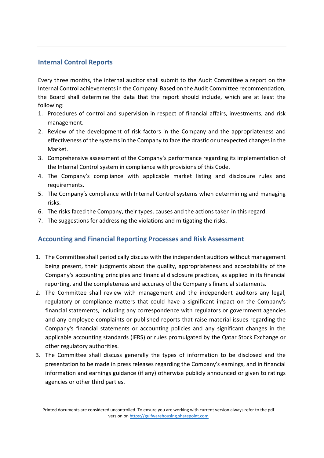## **Internal Control Reports**

Every three months, the internal auditor shall submit to the Audit Committee a report on the Internal Control achievements in the Company. Based on the Audit Committee recommendation, the Board shall determine the data that the report should include, which are at least the following:

- 1. Procedures of control and supervision in respect of financial affairs, investments, and risk management.
- 2. Review of the development of risk factors in the Company and the appropriateness and effectiveness of the systems in the Company to face the drastic or unexpected changes in the Market.
- 3. Comprehensive assessment of the Company's performance regarding its implementation of the Internal Control system in compliance with provisions of this Code.
- 4. The Company's compliance with applicable market listing and disclosure rules and requirements.
- 5. The Company's compliance with Internal Control systems when determining and managing risks.
- 6. The risks faced the Company, their types, causes and the actions taken in this regard.
- 7. The suggestions for addressing the violations and mitigating the risks.

#### **Accounting and Financial Reporting Processes and Risk Assessment**

- 1. The Committee shall periodically discuss with the independent auditors without management being present, their judgments about the quality, appropriateness and acceptability of the Company's accounting principles and financial disclosure practices, as applied in its financial reporting, and the completeness and accuracy of the Company's financial statements.
- 2. The Committee shall review with management and the independent auditors any legal, regulatory or compliance matters that could have a significant impact on the Company's financial statements, including any correspondence with regulators or government agencies and any employee complaints or published reports that raise material issues regarding the Company's financial statements or accounting policies and any significant changes in the applicable accounting standards (IFRS) or rules promulgated by the Qatar Stock Exchange or other regulatory authorities.
- 3. The Committee shall discuss generally the types of information to be disclosed and the presentation to be made in press releases regarding the Company's earnings, and in financial information and earnings guidance (if any) otherwise publicly announced or given to ratings agencies or other third parties.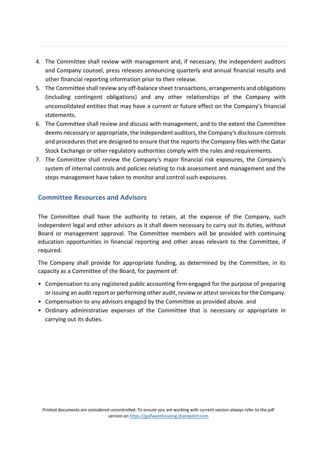- 4. The Committee shall review with management and, if necessary, the independent auditors and Company counsel, press releases announcing quarterly and annual financial results and other financial reporting information prior to their release.
- 5. The Committee shall review any off-balance sheet transactions, arrangements and obligations (including contingent obligations) and any other relationships of the Company with unconsolidated entities that may have a current or future effect on the Company's financial statements.
- 6. The Committee shall review and discuss with management, and to the extent the Committee deems necessary or appropriate, the independent auditors, the Company's disclosure controls and procedures that are designed to ensure that the reports the Company files with the Qatar Stock Exchange or other regulatory authorities comply with the rules and requirements.
- 7. The Committee shall review the Company's major financial risk exposures, the Company's system of internal controls and policies relating to risk assessment and management and the steps management have taken to monitor and control such exposures.

# **Committee Resources and Advisors**

The Committee shall have the authority to retain, at the expense of the Company, such independent legal and other advisors as it shall deem necessary to carry out its duties, without Board or management approval. The Committee members will be provided with continuing education opportunities in financial reporting and other areas relevant to the Committee, if required.

The Company shall provide for appropriate funding, as determined by the Committee, in its capacity as a Committee of the Board, for payment of:

- Compensation to any registered public accounting firm engaged for the purpose of preparing or issuing an audit report or performing other audit, review or attest services for the Company.
- Compensation to any advisors engaged by the Committee as provided above. and
- Ordinary administrative expenses of the Committee that is necessary or appropriate in carrying out its duties.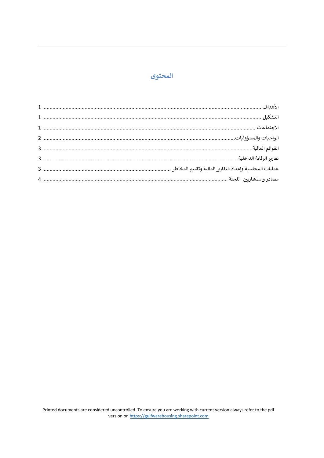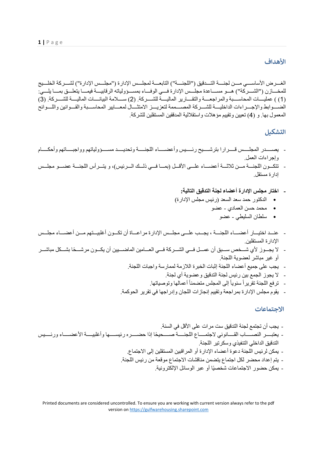#### **الأهداف**

الغــر ض الأساســـي مـــن لجنــــة التـــدقيق ("اللجنـــة") التابعـــة لمجلـــس الإدار ة ("مجلــس الإدار ة") لشـــر كة الخلـــيج للمخسازن ("الشسركة") هسو مسساعدة مجلسس الإدارة فسي الوفساء بمسسؤولياته الرقابيسة فيمسا يتعلسق بمسا يلسي: (1) ) عمليسات المحاسسبة والمراجعسة والتقسارير الماليسة للشسركة. (2) سسلامة البيانسات الماليسة للشسركة. (3) الضحوابط والإجـــراءات الداخليـــة للشـــركة المصــــممة لتعزيـــز الامتثـــال لمعـــابير المحاســـبة والقـــوانين واللـــوائح المعمول بها. و (4) تعيين وتقييم مؤهلات واستقلالية المدققين المستقلين للشركة.

# **الᙬشكᘭل**

- يصهدر المجلسس قسرارا بترشسيح رئسيس وأعضماء اللجنسة وتحديسد مسسؤولياتهم وواجبساتهم وأحكسام وإجراءات العمل.
- تتكون اللجنسة مسن ثلاثسة أعضساء علسي الأقسل (بمسا فسي ذلسك السرئيس)، و يتسرأس اللجنسة عضسو مجلسس إدارة مستقل.
	- **اختار مجلس الإدارة أعضاء لجنة التدقيق التالية:**
	- الدكتور حمد سعد السعد (رئيس مجلس الإدارة)
		- محمد حسن العمادي عضو
			- سلطان السليطي عضو
- عنه اختيار أعضـاء اللجنــة ، يجـب علــى مجلـس الإدارة مراعــاة أن تكـون أغلبيــتهم مــن أعضــاء مجلــس الإدارة المستقلين.
- لا يجــوز لأي شــخص ســبق أن عمــل فــي الشــركة فــي العــامين الماضــيين أن يكــون مرشــحًا بشــكل مباشــر أو غير مباشر لعضوية اللجنة.
	- يجب على جميع أعضاء اللجنة إثبات الخبرة اللازمة لممارسة واجبات اللجنة.
		- لا يجوز الجمع بين رئيس لجنة التدقيق وعضوية أي لجنة.
		- ترفع اللجنة تقريراً سنوياً إلى المجلس متضمناً أعمالها وتوصياتها.
	- يقوم مجلس الإدارة بمراجعة وتقييم إنجازات اللجان وإدراجها في تقرير الحوكمة.

#### **الاجتماعات**

- يجب أن تجتمع لجنة التدقيق ست مرات على الأقل في السنة. - يعتبѧѧѧѧѧѧѧѧر النصѧѧѧѧѧѧѧѧاب القѧѧѧѧѧѧѧѧانوني لاجتمѧѧѧѧѧ ً ѧѧѧاع اللجنѧѧѧѧѧѧѧѧة صѧѧѧѧѧѧѧѧحيحا إذا حضѧѧѧѧѧѧѧѧره رئيسѧѧѧѧѧѧѧѧها وأغلبيѧѧѧѧѧѧѧѧة الأعضѧѧѧѧѧѧѧѧاء ورئѧѧѧѧѧѧѧѧيس التدقيق الداخلي التنفيذي وسكرتير اللجنة. - يمكن لرئيس اللجنة دعوة أعضاء الإدارة أو المراقبين المستقلين إلى الاجتماع. - يتم إعداد محضر لكل اجتماع يتضمن مناقشات الاجتماع موقعة من رئيس اللجنة. ًا أو عبر الوسائل الإلكترونية. - يمكن حضور الاجتماعات شخصي

Printed documents are considered uncontrolled. To ensure you are working with current version always refer to the pdf version on https://gulfwarehousing.sharepoint.com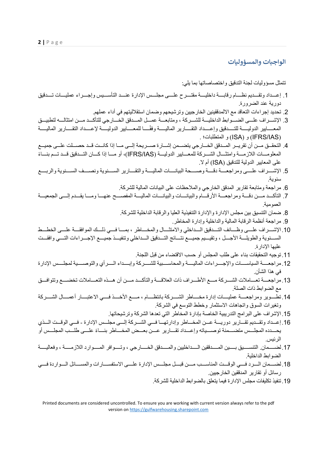#### **الواجᘘات والمسؤولᘭات**

#### تتمثل مسؤوليات لجنة التدقيق واختصاصاتها بما يلي:

- 1. إعـداد وتقــديم نظــام رقابـــة داخليـــة مقتـــرح علـــى مجلـــس الإدارة عنـــد التأســـيس وإجـــراء عمليـــات تـــدقيق دورية عند الضرورة.
	- .2 تحديد إجراءات التعاقد مع الالمدققينين الخارجيين وترشيحهم وضمان استقلاليتهم في أداء عملهم.
- 3. الإشــراف علـــي الضــوابط الداخليـــة للشــركة ، ومتابعـــة عمــل المــدقق الخـــارجي للتأكــد مــن امتثالـــه لتطبيــق المعــــايير الدوليـــــة للتــــدقيق وإعــــداد التقــــارير الماليــــة وفقًــــا للمعــــايير الدوليـــــة لإعــــداد التقــــارير الماليـــــة (IAS/IFRS (و (ISA (و المتطلبات؛ .
- 4. التحقــق مــن أن تقريــر المــدقق الخــارجي يتضـــمن إشــارة صـــريحة إلـــي مــا إذا كانــت قــد حصــلت علــي جميـــع المعلومسات اللاز مسة وامتثسال الشسركة للمعسابيير الدوليسة (IFRS/IAS)، أو مسا إذا كسان التسدقيق قسد تسم بنساءً على المعايير الدولية للتدقيق (ISA (أم لا.
- 5. الإشـــراف علـــي ومراجعـــة دقـــة وصـــحة البيانـــات الماليـــة والتقـــارير الســـنوية ونصـــف الســـنوية والربــــع سنوية.
	- .6 مراجعة ومتابعة تقارير المدقق الخارجي والملاحظات على البيانات المالية للشركة.
- 7. التأكــد مــن دقــة ومراجعــة الأرقــام والبيانــات والبيانـــات الماليــة المفصــح عنهــا ومــا يقــدم إلـــي الجمعيـــة العمومية.
	- .8 ضمان التنسيق بين مجلس الإدارة والإدارة التنفيذية العليا والرقابة الداخلية للشركة.
		- .9 مراجعة أنظمة الرقابة المالية والداخلية وإدارة المخاطر.
- 10. الإشسراف علسي وظسائف التسدقيق السداخلي والامتثسال والمخساطر ، بمسا فسي ذلسك الموافقسة علسي الخطسط الســـنوية والطويلـــة الأجـــل ، وتقيـــيم جميـــع نتـــائج التـــدقيق الـــداخلي وتنفيـــذ جميـــع الإجـــراءات التـــي وافقـــت عليها الإدارة.
	- .11 توجيه التحقيقات بناء على طلب المجلس أو حسب الاقتضاء من قبل اللجنة.
- 12.مراجعـــة السياســـات والإجــــراءات الماليــــة والمحاســـبية للشــــركة وإبــــداء الــــرأي والتوصــــية لمجلـــس الإدارة في هذا الشأن.
- 13.مراجعــة تعــاملات الشــركة مــع الأطــراف ذات العلاقــة والتأكــد مــن أن هــذه التعــاملات تخضـــع وتتوافــق مع الضوابط ذات الصلة.
- 14. تطـوير ومراجعـــة عمليـــات إدارة مخــــاطر الشـــركة بانتظـــام ، مــــع الأخـــذ فـــي الاعتبـــار أعمـــال الشـــركة وتغيرات السوق واتجاهات الاستثمار وخطط التوسع في الشركة.
	- .15 الإشراف على البرامج التدريبية الخاصة بإدارة المخاطر التي تعدها الشركة وترشيحاتها.
- 16. إعـداد وتقـديم تقــارير دوريـــة عــن المخـــاطر وإدارتهــا فــي الشــركة إلــي مجلــس الإدارة فــي الوقــت الــذي يحــدده المجلــس متضــمنة توصـــياته وإعــداد تقـــار بر عـــن بعــض المخـــاطر بنـــاءً علـــى طلـــب المجلــس أو الرئيس.
- 17. لضهمان. التنسسيق بسـين المسـدققين السـداخليين والمسـدقق الخـسـارجي ، وتسـوافر المسـوارد اللازمســة ، وفعاليســة الضوابط الداخلية.
- 18. لضممان السرد فسي الوقست المناسسب مسن قبسل مجلسس الإدارة علسي الاستفسسارات والمسسائل السواردة فسي رسائل أو تقارير المدققين الخارجيين.
	- .19 تنفيذ تكليفات مجلس الإدارة فيما يتعلق بالضوابط الداخلية للشركة.

Printed documents are considered uncontrolled. To ensure you are working with current version always refer to the pdf version on https://gulfwarehousing.sharepoint.com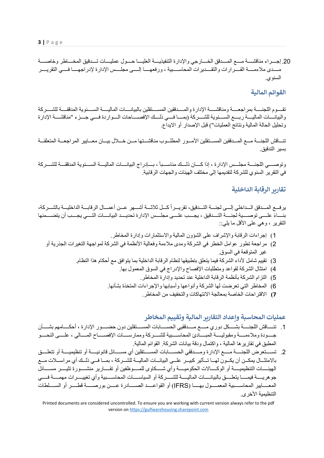**3 |** Page

20. إجـــراء مناقشـــة مــــع المـــدقق الخــــارجي والإدارة التنفيذيـــة العليـــا حـــول عمليـــات تـــدقيق المخــــاطر وخاصــــة مسدى ملاءمــــة القـــرارات والتقـــديرات المحاســـبية ، ورفعهـــا إلــــه مجلـــس الإدار ة لإدراجهـــا فـــه التقريـــر السنوي.

## **القوائم المالᘭة**

تقـــوم اللجنــــة بمراجعــــة ومناقشــــة الإدارة والمـــدققين المســـتقلين بالبيانــــات الماليــــة الســـنوية المدققــــة للشــــركة والبيانـــات الماليـــة ربـــع الســـنوية للشـــركة (بمـــا فـــى ذلـــك الإفصــــاحات الـــواردة فـــى جـــزء "مناقشـــة الإدارة وتحليل الحالة المالية ونتائج العمليات") قبل الإصدار أو الايداع.

تنساقش اللجنسة مسع المسدققين المسستقلين الأمسور المطلسوب مناقشستها مسن خسلال بيسان معسايير المراجعسة المتعلقسة بسير التدقيق.

وتوصيهي اللجنسة مجلسس الإدارة ، إذا كسان ذلسك مناسسياً ، بسادر اج البيانسات الماليسة السينوية المدققسة للشسر كة في التقرير السنوي للشركة لتقديمها إلى مختلف الهيئات والجهات الرقابية.

#### **تقارᗫر الرقاᗷة الداخلᘭة**

يرفــع المــدقق الــداخلي إلـــي لجنـــة التــدقيق، تقريــراً كــل ثلاثـــة أشـــهر عــن أعمــال الرقابـــة الداخليـــة بالشــركة، بنـــاءً علـــي توصــــية لجنــــة التـــدقيق ، يجـــب علـــي مجلــس الإدارة تحديـــد البيانــــات التـــي يجـــب أن يتضــــمنها التقرير ، وهي على الأقل ما يلي::

- 1) إجراءات الرقابة والإشراف على الشؤون المالية والاستثمارات وإدارة المخاطر.
- 2) مراجعة تطور عوامل الخطر في الشركة ومدى ملاءمة وفعالية الأنظمة في الشركة لمواجهة التغيرات الجذرية أو غير المتوقعة في السوق.
	- 3) تقييم شامل لأداء الشركة فيما يتعلق بتطبيقها لنظام الرقابة الداخلية بما يتوافق مع أحكام هذا النظام.
		- 4) امتثال الشركة لقواعد ومتطلبات الإفصاح والإدراج في السوق المعمول بها.
			- 5) التزام الشركة بأنظمة الرقابة الداخلية عند تحديد وإدارة المخاطر.
		- 6) المخاطر التي تعرضت لها الشركة وأنواعها وأسبابها والإجراءات المتخذة بشأنها.
			- **7)** الاقتراحات الخاصة بمعالجة الانتهاكات والتخفيف من المخاطر.

## عمليات المحاسبة واعداد التقاربر المالية وتقييم المخاطر

- 1. تنــــاقش اللجنــــة بشـــكل دوري مــــع مـــدققيي الحســـابات المســـتقلين دون حضــــور الإدارة ، أحكــــامهم بشــــأن جسودة وملاءمسة ومقبوليسة المبسادئ المحاسسبية للشسركة وممارسسات الإفصساح المسالي ، علسي النحسو المطبق في تقاريرها المالية ، واكتمال ودقة بيانات الشركة. القوائم المالية.
- 2. تســـتعرض اللجنــــة مــــع الإدارة ومـــدققي الحســـابات المســـتقلين أي مســــائل قانونيــــة أو تتعليق أو تتعليـــق بالامتثــال يمكــن أن يكــون لهــا تــأثير كبيــر علــي البيانــات الماليــة للشــركة ، بمــا فــي ذلــك أي مراســلات مـــع الهيئــــات التنظيميـــــة أو الوكــــالات الحكوميــــة وأي شـــكاوى للمــــوظفين أو تقــــارير منشــــورة تثيــــر مســــائل جوهريسـة فيمـــا يتعلــــق بالبيانــــات الماليـــة للشـــركة أو السياســـات المحاســـبية وأي تغييـــرات مهمــــة فــــي المعــــابير المحاســــبية المعمــــول بهــــا (IFRS) أو القواعـــد الصـــــادر ة عــــن بور صـــــة قطــــر أو الســــلطات التنظيمية الأخرى.

Printed documents are considered uncontrolled. To ensure you are working with current version always refer to the pdf version on https://gulfwarehousing.sharepoint.com